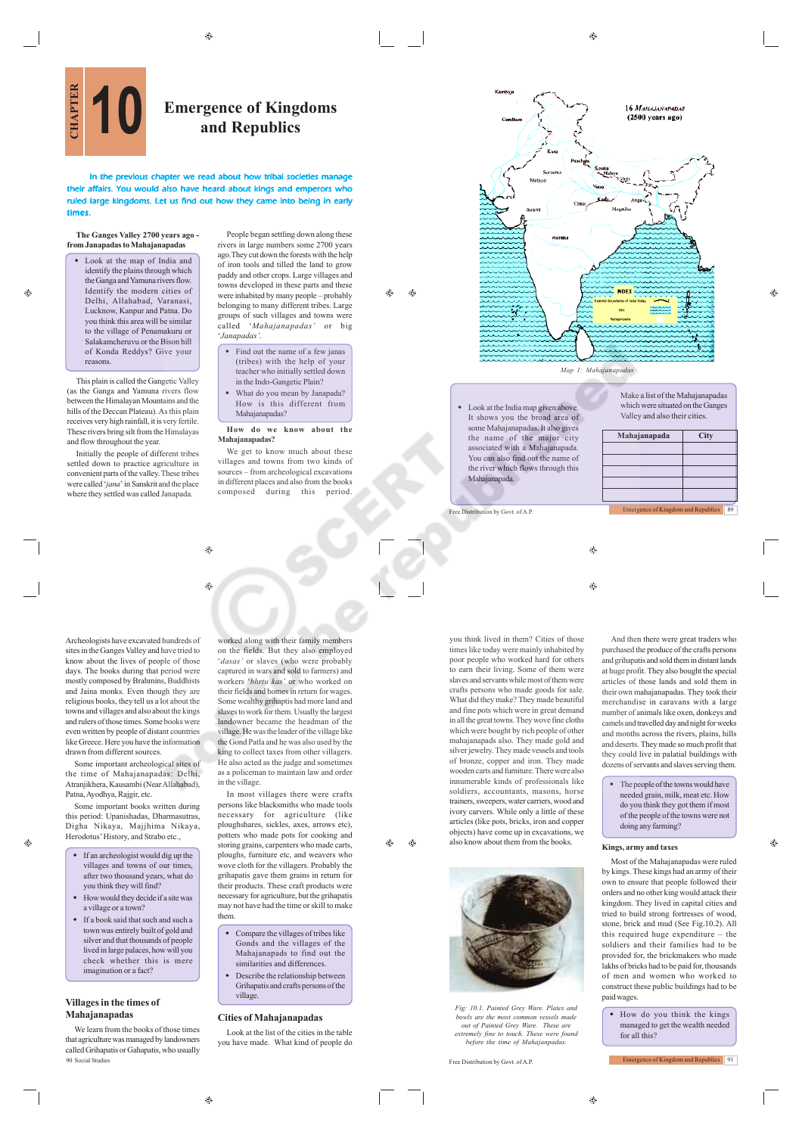⊕

ΔÑ  $\triangle$ 

Ó.

# **CHAPTER EMERGER CONSTRAINING REPAIRING SET OF Kingdoms**<br> **CHAPTER EMPIRERATION**<br> **CHAPTER EMPIRERATION and Republics**

In the previous chapter we read about how tribal societies man affairs. You would also have heard about kings and emperors who ruled large kingdoms. Let us find out how they came into being in early tim

#### **The Ganges Valley 2700 years ago from Janapadas to Mahajanapadas**

 Look at the map of India and identify the plains through which the Ganga and Yamuna rivers flow. Identify the modern cities of Delhi, Allahabad, Varanasi, Lucknow, Kanpur and Patna. Do you think this area will be similar to the village of Penamakuru or Salakamcheruvu or the Bison hill of Konda Reddys? Give your reasons.

This plain is called the Gangetic Valley (as the Ganga and Yamuna rivers flow between the Himalayan Mountains and the hills of the Deccan Plateau). As this plain receives very high rainfall, it is very fertile. These rivers bring silt from the Himalayas and flow throughout the year.

Initially the people of different tribes settled down to practice agriculture in convenient parts of the valley. These tribes were called '*jana*' in Sanskrit and the place where they settled was called Janapada.

People began settling down along these rivers in large numbers some 2700 years ago.They cut down the forests with the help of iron tools and tilled the land to grow paddy and other crops. Large villages and towns developed in these parts and these were inhabited by many people – probably belonging to many different tribes. Large groups of such villages and towns were called '*Mahajanapadas'* or big '*Janapadas'*.

- Find out the name of a few janas (tribes) with the help of your teacher who initially settled down in the Indo-Gangetic Plain?
- What do you mean by Janapada? How is this different from Mahajanapadas?

#### **How do we know about the Mahajanapadas?** We get to know much about these

villages and towns from two kinds of sources – from archeological excavations in different places and also from the books composed during this period.



 $\qquad \qquad \textcircled{\scriptsize{9}}$ 

۵

Archeologists have excavated hundreds of sites in the Ganges Valley and have tried to know about the lives of people of those days. The books during that period were mostly composed by Brahmins, Buddhists and Jaina monks. Even though they are religious books, they tell us a lot about the towns and villages and also about the kings and rulers of those times. Some books were even written by people of distant countries like Greece. Here you have the information drawn from different sources.

Some important archeological sites of the time of Mahajanapadas: Delhi, Atranjikhera, Kausambi (Near Allahabad), Patna, Ayodhya, Rajgir, etc.

Some important books written during this period: Upanishadas, Dharmasutras, Digha Nikaya, Majjhima Nikaya, Herodotus' History, and Strabo etc.,

 $\hat{\mathbf{e}}$ 

- If an archeologist would dig up the villages and towns of our time after two thousand years, what do you think they will find?
- $\bullet$  How would they decide if a site was a village or a town?
- If a book said that such and such a town was entirely built of gold and silver and that thousands of people lived in large palaces, how will you check whether this is mere imagination or a fact?

### **Villages in the times of Mahajanapadas**

We learn from the books of those times that agriculture was managed by landowners called Grihapatis or Gahapatis, who usually 90 Social Studies Free Distribution by Govt. of A.P.

worked along with their family members on the fields. But they also employed '*dasas'* or slaves (who were probably captured in wars and sold to farmers) and workers '*bhrtu kas'* or who worked on their fields and homes in return for wages. Some wealthy grihaptis had more land and slaves to work for them. Usually the largest landowner became the headman of the village. He was the leader of the village like the Gond Patla and he was also used by the king to collect taxes from other villagers. He also acted as the judge and sometimes as a policeman to maintain law and order in the village.

In most villages there were crafts persons like blacksmiths who made tools necessary for agriculture (like ploughshares, sickles, axes, arrows etc), potters who made pots for cooking and storing grains, carpenters who made carts, ploughs, furniture etc, and weavers who wove cloth for the villagers. Probably the grihapatis gave them grains in return for their products. These craft products were necessary for agriculture, but the grihapatis may not have had the time or skill to make them.

- Compare the villages of tribes like Gonds and the villages of the Mahajanapads to find out the similarities and differences.
- Describe the relationship between Grihapatis and crafts persons of the village.

## **Cities of Mahajanapadas**

Look at the list of the cities in the table you have made. What kind of people do



*Map 1: Mahajanapadas*

 Look at the India map given above. It shows you the broad area of some Mahajanapadas. It also gives the name of the major associated with a Mahajanapada. You can also find out the name of the river which flows through this Mahajanapada.

Make a list of the Mahajanapadas which were situated on the Ganges Valley and also their cities.

Ô.

| Mahajanapada                              |  | City |    |
|-------------------------------------------|--|------|----|
|                                           |  |      |    |
|                                           |  |      |    |
|                                           |  |      |    |
|                                           |  |      |    |
|                                           |  |      |    |
| <b>Emergence of Kingdom and Republics</b> |  |      | 89 |

Free Distribution by Govt. of A.P.

 $\bigcirc$  $\circledcirc$ 

you think lived in them? Cities of those times like today were mainly inhabited by poor people who worked hard for others to earn their living. Some of them were slaves and servants while most of them were crafts persons who made goods for sale. What did they make? They made beautiful and fine pots which were in great demand in all the great towns. They wove fine cloths which were bought by rich people of other mahajanapads also. They made gold and silver jewelry. They made vessels and tools of bronze, copper and iron. They made wooden carts and furniture. There were also innumerable kinds of professionals like soldiers, accountants, masons, horse trainers, sweepers, water carriers, wood and ivory carvers. While only a little of these articles (like pots, bricks, iron and copper objects) have come up in excavations, we also know about them from the books.



⊕

*Fig: 10.1. Painted Grey Ware. Plates and bowls are the most common vessels made out of Painted Grey Ware. These are extremely fine to touch. These were found before the time of Mahajanpadas.*

And then there were great traders who purchased the produce of the crafts persons and grihapatis and sold them in distant lands at huge profit. They also bought the special articles of those lands and sold them in their own mahajanapadas. They took their merchandise in caravans with a large number of animals like oxen, donkeys and camels and travelled day and night for weeks and months across the rivers, plains, hills and deserts. They made so much profit that they could live in palatial buildings with dozens of servants and slaves serving them.

 The people of the towns would have needed grain, milk, meat etc. How do you think they got them if most of the people of the towns were not doing any farming?

♠

#### **Kings, army and taxes**

Most of the Mahajanapadas were ruled by kings. These kings had an army of their own to ensure that people followed their orders and no other king would attack their kingdom. They lived in capital cities and tried to build strong fortresses of wood, stone, brick and mud (See Fig.10.2). All this required huge expenditure – the soldiers and their families had to be provided for, the brickmakers who made lakhs of bricks had to be paid for, thousands of men and women who worked to construct these public buildings had to be paid wages.

 How do you think the kings managed to get the wealth needed for all this?

Emergence of Kingdom and Republics 91